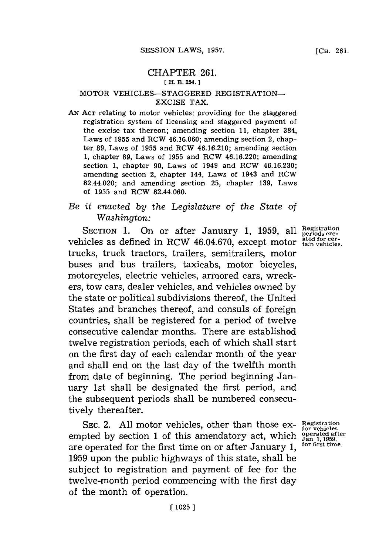## CHAPTER **261. [ H. B. 254.**

### MOTOR VEHICLES-STAGGERED REGISTRATION-EXCISE TAX.

**AN ACT** relating to motor vehicles; providing for the staggered registration system of licensing and staggered payment of the excise tax thereon; amending section **11,** chapter 384, Laws of **1955** and RCW **46.16.060;** amending section 2, chapter. **89,** Laws of **1955** and RCW 46.16.210; amending section **1,** chapter **89,** Laws of **1955** and RCW 46.16.220; amending section **1,** chapter **90,** Laws of 1949 and RCW **46.16.230;** amending section 2, chapter 144, Laws of 1943 and RCW 82.44.020; and amending section **25,** chapter **139,** Laws of **1955** and RCW 82.44.060.

# *Be it enacted by the Legislature of the State of Washington:*

SECTION 1. On or after January 1, 1959, all **Registration** SECTION 1. On or after January 1, 1959, all periods cre-<br>vehicles as defined in RCW 46.04.670, except motor a<sup>ted for cer-</sup> trucks, truck tractors, trailers, semitrailers, motor buses and bus trailers, taxicabs, motor bicycles, motorcycles, electric vehicles, armored cars, wreckers, tow cars, dealer vehicles, and vehicles owned **by** the state or political subdivisions thereof, the United States and branches thereof, and consuls of foreign countries, shall be registered for a period of twelve consecutive calendar months. There are established twelve registration periods, each of which shall start on the first day of each calendar month of the year and shall end on the last day of the twelfth month from date of beginning. The period beginning January 1st shall be designated the first period, and the subsequent periods shall be numbered consecutively thereafter.

SEC. 2. **All** motor vehicles, other than those exempted **by** section **1** of this amendatory act, which are operated for the first time on or after January **1, 1959** upon the public highways of this state, shall be subject to registration and payment of fee for the twelve-month period commencing with the first day of the month of operation.

**Registration for vehicles operated after Jan. 1, 1959, for first time.**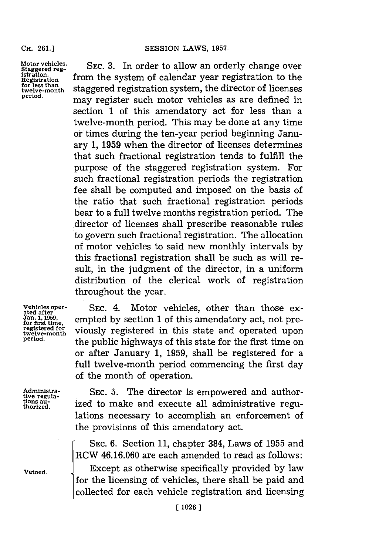#### **CH. 261.]**

**Motor vehicles. Staggered reg- istratio. Registration for less than twelve-month period.**

**SEC. 3.** In order to allow an orderly change over from the system of calendar year registration to the staggered registration system, the director of licenses may register such motor vehicles as are defined in section **1** of this amendatory act for less than a twelve-month period. This may be done at any time or times during the ten-year period beginning January **1, 1959** when the director of licenses determines that such fractional registration tends to fulfill the purpose of the staggered registration system. For such fractional registration periods the registration fee shall be computed and imposed on the basis of the ratio that such fractional registration periods bear to a full twelve months registration period. The director of licenses shall prescribe reasonable rules to govern such fractional registration. The allocation of motor vehicles to said new monthly intervals **by** this fractional registration shall be such as will result, in the judgment of the director, in a uniform distribution of the clerical work of registration throughout the year.

**Vehicles oper- ated after Jan. 1, 1959, for first time,** registered for<br>registered for<br>twelve<del>-</del>month twelve-month<br>p**e**riod.

Administra**tive regula- tions au- thorized.**

**Vetoed.**

**SEC.** 4. Motor vehicles, other than those exempted **by** section **1** of this amendatory act, not previously registered in this state and operated upon the public highways of this state for the first time on or after January **1, 1959,** shall be registered for a full twelve-month period commencing the first day of the month of operation.

**SEC. 5.** The director is empowered and authorized to make and execute all administrative regulations necessary to accomplish an enforcement of SEC. 5. The director is empowered and authorized to make and execute all administrative regulations necessary to accomplish an enforcement of the provisions of this amendatory act.<br>SEC. 6. Section 11, chapter 384, Laws of

RCW **46.16.060** are each amended to read as follows:

Except as otherwise specifically provided **by** law for the licensing of vehicles, there shall be paid and collected for each vehicle registration and licensing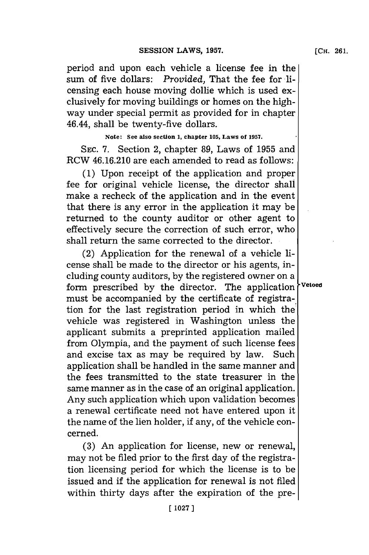period and upon each vehicle a license fee in the sum of five dollars: *Provided*, That the fee for licensing each house moving dollie which is used exclusively for moving buildings or homes on the highway under special permit as provided for in chapter 46.44, shall be twenty-five dollars.

## **Note: See also section 1, chapter 105, Laws of 1957.**

**SEC. 7.** Section 2, chapter **89,** Laws of **1955** and RCW 46.16.210 are each amended to read as follows:

**(1)** Upon receipt of the application and proper fee for original vehicle license, the director shall make a recheck of the application and in the event that there is any error in the application it may be returned to the county auditor or other agent to effectively secure the correction of such error, who shall return the same corrected to the director.

(2) Application for the renewal of a vehicle license shall be made to the director or his agents, including county auditors, **by** the registered owner on a form prescribed **by** the director. The application **vetoed** must be accompanied **by** the certificate of registration for the last registration period in which the vehicle was registered in Washington unless the applicant submits a preprinted application mailed from Olympia, and the payment of such license fees and excise tax as may be required **by** law. Such application shall be handled in the same manner and the fees transmitted to the state treasurer in the same manner as in the case of an original application. Any such application which upon validation becomes a renewal certificate need not have entered upon it the name of the lien holder, if any, of the vehicle concerned.

**(3)** An application for license, new or renewal, may not be filed prior to the first day of the registration licensing period for which the license is to be issued and if the application for renewal is not filed within thirty days after the expiration of the pre-

**[ 1027]1**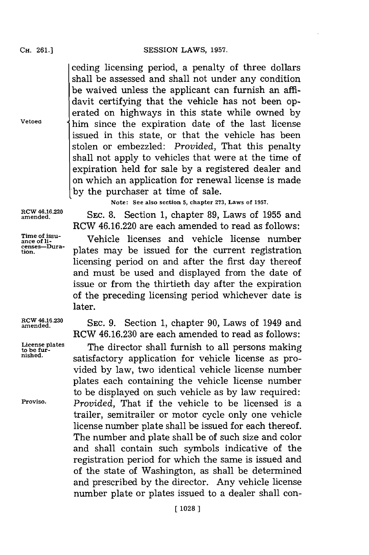ceding licensing period, a penalty of three dollars shall be assessed and shall not under any condition be waived unless the applicant can furnish an affidavit certifying that the vehicle has not been operated on highways in this state while owned **by Vetoed** him since the expiration date of the last license issued in this state, or that the vehicle has been stolen or embezzled: *Provided,* That this penalty shall not apply to vehicles that were at the time of expiration held for sale **by** a registered dealer and on which an application for renewal license is made **by** the purchaser at time of sale.

**Note: See also section 5, chapter 273, Laws of 1957.**

RCW 46.16.220 are each amended to read as follows:

**tion.** plates may be issued for the current registration licensing period on and after the first day thereof and must be used and displayed from the date of issue or from the thirtieth day after the expiration of the preceding licensing period whichever date is

amende.6.O **SEC. 8.** Section **1,** chapter **89,** Laws of **1955** and

**Time of issu- ance of ii-** Vehicle licenses and vehicle license number **censes-Dura-**

later.

**RCW 46.16.230** SEC. 9. Section 1, chapter 90, Laws of 1949 an RCW **46.16.230** are each amended to read as follows:

License plates **The director shall furnish to all persons making**<br>pished.<br>pished. satisfactory application for vehicle license as provided **by** law, two identical vehicle license number plates each containing the vehicle license number to be displayed on such vehicle as **by** law required: **Proviso.** *Provided,* That if the vehicle to be licensed is a trailer, semitrailer or motor cycle only one vehicle license number plate shall be issued for each thereof. The number and plate shall be of such size and color and shall contain such symbols indicative of the registration period for which the same is issued and of the state of Washington, as shall be determined and prescribed **by** the director. Any vehicle license number plate or plates issued to a dealer shall con-

**CH. 261.1**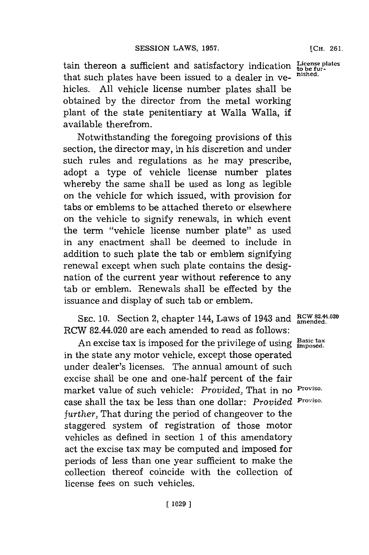tain thereon a sufficient and satisfactory indication  $\frac{L}{60}$  be furthat such plates have been issued to a dealer in ye- **nished.** hicles. **All** vehicle license number plates shall be obtained **by** the director from the metal working plant of the state penitentiary at Walla Walla, if available therefrom.

Notwithstanding the foregoing provisions of this section, the director may, in his discretion and under such rules and regulations as he may prescribe, adopt a type of vehicle license number plates whereby the same shall be used as long as legible on the vehicle for which issued, with provision for tabs or emblems to be attached thereto or elsewhere on the vehicle to signify renewals, in which event the term "vehicle license number plate" as used in any enactment shall be deemed to include in addition to such plate the tab or emblem signifying renewal except when such plate contains the designation of the current year without reference to any tab or emblem. Renewals shall be effected **by** the issuance and display of such tab or emblem.

SEC. 10. Section 2, chapter 144, Laws of 1943 and **RCW 82.44.02** RCW 82.44.020 are each amended to read as follows:

An excise tax is imposed for the privilege of using **Basic tax** in the state any motor vehicle, except those operated under dealer's licenses. The annual amount of such excise shall be one and one-half percent of the fair market value of such vehicle: *Provided,* That in no **Proviso.** case shall the tax be less than one dollar: *Provided* **Proviso.** *further,* That during the period of changeover to the staggered system of registration of those motor vehicles as defined in section 1 of this amendatory act the excise tax may be computed and imposed for periods of less than one year sufficient to make the collection thereof coincide with the collection of license fees on such vehicles.

**[CH. 261.**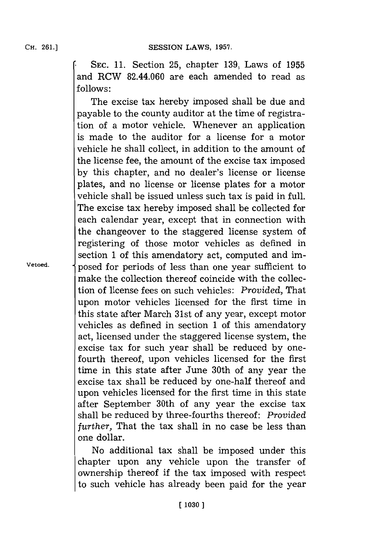**\*SEC. 11.** Section **25,** chapter **139,** Laws of **1955** and RCW 82.44.060 are each amended to read as **follows:**

The excise tax hereby imposed shall be due and payable to the county auditor at the time of registration of a motor vehicle. Whenever an application is made to the auditor for a license for a motor vehicle he shall collect, in addition to the amount of the license fee, the amount of the excise tax imposed **by** this chapter, and no dealer's license or license plates, and no license or license plates for a motor vehicle shall be issued unless such tax is paid in full. The excise tax hereby imposed shall be collected for each calendar year, except that in connection with the changeover to the staggered license system of registering of those motor vehicles as defined in section **1** of this amendatory act, computed and im-**Vetoed,** posed for periods of less than one year sufficient to make the collection thereof coincide with the collection of license fees on such vehicles: *Provided,* That upon motor vehicles licensed for the first time in this state after March 31st of any year, except motor vehicles as defined in section **1** of this amendatory act, licensed under the staggered license system, the excise tax for such year shall be reduced **by** onefourth thereof, upon vehicles licensed for the first time in this state after June 30th of any year the excise tax shall be reduced **by** one-half thereof and upon vehicles licensed for the first time in this state after September 30th of any year the excise tax shall be reduced **by** three-fourths thereof: *Provided further,* That the tax shall in no case be less than one dollar.

> No additional tax shall be imposed under this chapter upon any vehicle upon the transfer of ownership thereof if the tax imposed with respect to such vehicle has already been paid for the year